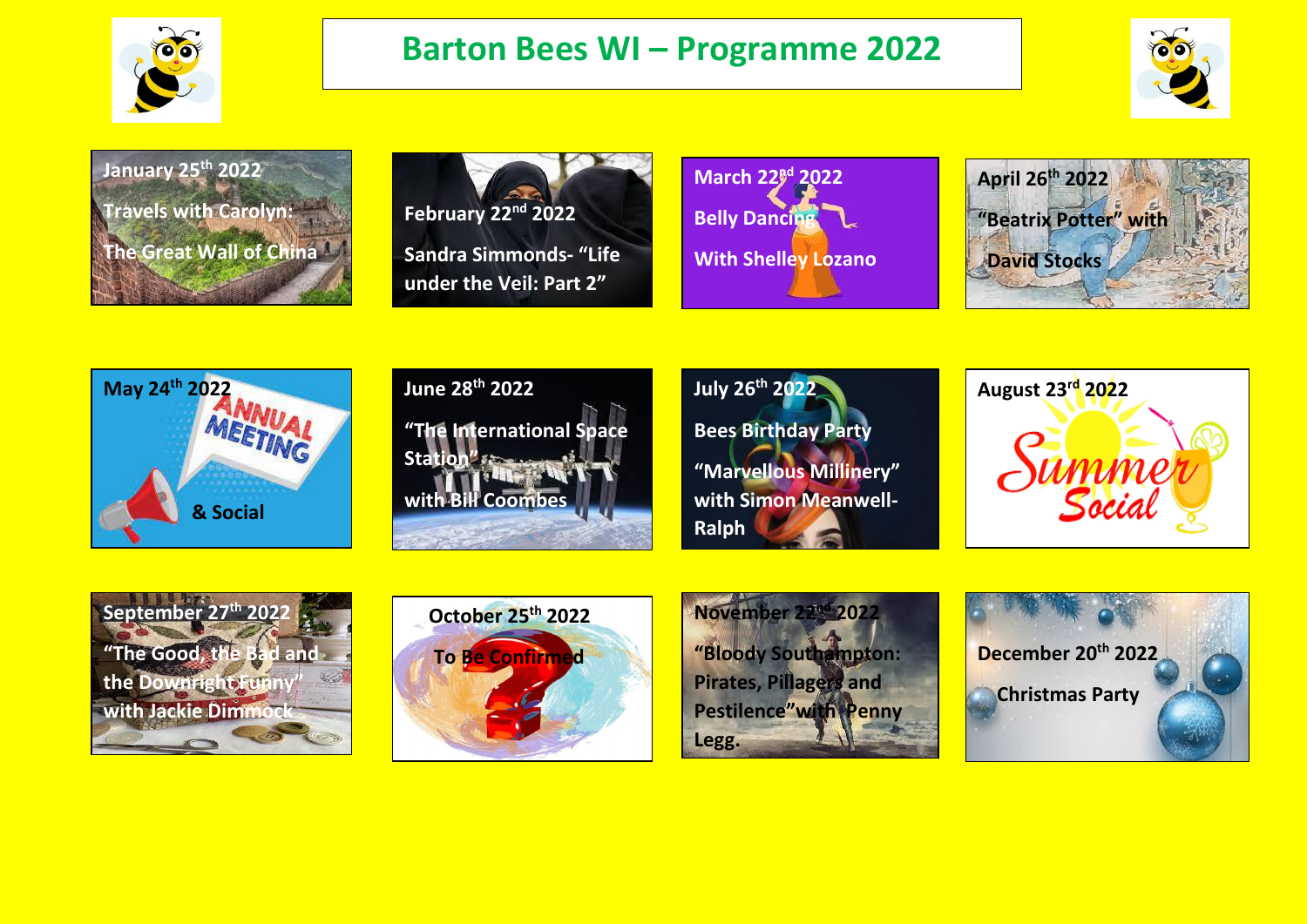

## **Barton Bees WI – Programme 2022**



**January 25th 2022 Travels with Carolyn: The Great Wall of China**